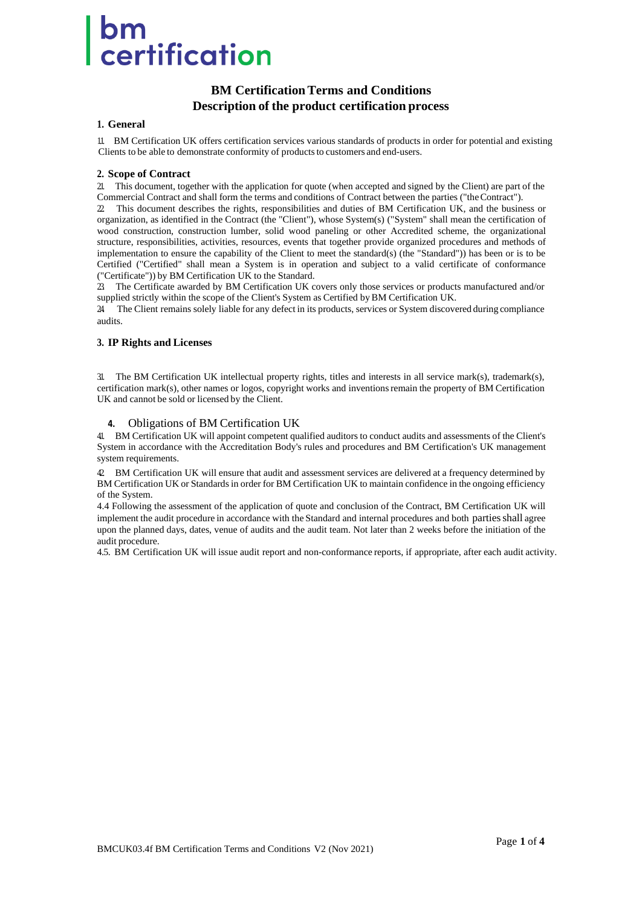# om<br>certification

## **BM CertificationTerms and Conditions Description of the product certification process**

## **1. General**

1.1. BM Certification UK offers certification services various standards of products in order for potential and existing Clients to be able to demonstrate conformity of products to customers and end-users.

## **2. Scope of Contract**

2.1. This document, together with the application for quote (when accepted and signed by the Client) are part of the Commercial Contract and shall form the terms and conditions of Contract between the parties ("theContract").

2.2. This document describes the rights, responsibilities and duties of BM Certification UK, and the business or organization, as identified in the Contract (the "Client"), whose System(s) ("System" shall mean the certification of wood construction, construction lumber, solid wood paneling or other Accredited scheme, the organizational structure, responsibilities, activities, resources, events that together provide organized procedures and methods of implementation to ensure the capability of the Client to meet the standard(s) (the "Standard")) has been or is to be Certified ("Certified" shall mean a System is in operation and subject to a valid certificate of conformance ("Certificate")) by BM Certification UK to the Standard.

2.3. The Certificate awarded by BM Certification UK covers only those services or products manufactured and/or supplied strictly within the scope of the Client's System as Certified byBM Certification UK.

2.4. The Client remains solely liable for any defect in its products, services or System discovered during compliance audits.

## **3. IP Rights and Licenses**

3.1. The BM Certification UK intellectual property rights, titles and interests in all service mark(s), trademark(s), certification mark(s), other names or logos, copyright works and inventionsremain the property of BM Certification UK and cannot be sold or licensed by the Client.

## **4.** Obligations of BM Certification UK

4.1. BM Certification UK will appoint competent qualified auditors to conduct audits and assessments of the Client's System in accordance with the Accreditation Body's rules and procedures and BM Certification's UK management system requirements.

4.2. BM Certification UK will ensure that audit and assessment services are delivered at a frequency determined by BM Certification UK or Standards in order for BM Certification UK to maintain confidence in the ongoing efficiency of the System.

4.4 Following the assessment of the application of quote and conclusion of the Contract, BM Certification UK will implement the audit procedure in accordance with the Standard and internal procedures and both partiesshall agree upon the planned days, dates, venue of audits and the audit team. Not later than 2 weeks before the initiation of the audit procedure.

4.5. BM Certification UK will issue audit report and non-conformance reports, if appropriate, after each audit activity.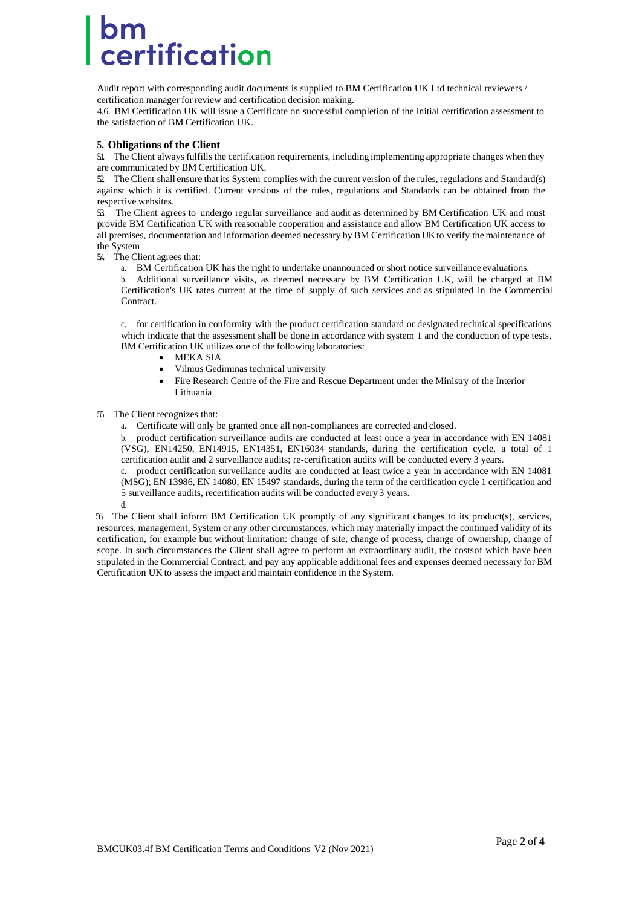## certification

Audit report with corresponding audit documents is supplied to BM Certification UK Ltd technical reviewers / certification manager for review and certification decision making.

4.6. BM Certification UK will issue a Certificate on successful completion of the initial certification assessment to the satisfaction of BM Certification UK.

### **5. Obligations of the Client**

5.1. The Client always fulfills the certification requirements, including implementing appropriate changes when they are communicated by BM Certification UK.

 $\Omega$  The Client shall ensure that its System complies with the current version of the rules, regulations and Standard(s) against which it is certified. Current versions of the rules, regulations and Standards can be obtained from the respective websites.

5.3. The Client agrees to undergo regular surveillance and audit as determined by BM Certification UK and must provide BM Certification UK with reasonable cooperation and assistance and allow BM Certification UK access to all premises, documentation and information deemed necessary by BM Certification UK to verify the maintenance of the System

- 54 The Client agrees that:
	- a. BM Certification UK has the right to undertake unannounced or short notice surveillance evaluations.

b. Additional surveillance visits, as deemed necessary by BM Certification UK, will be charged at BM Certification's UK rates current at the time of supply of such services and as stipulated in the Commercial Contract.

c. for certification in conformity with the product certification standard or designated technical specifications which indicate that the assessment shall be done in accordance with system 1 and the conduction of type tests, BM Certification UK utilizes one of the following laboratories:

- MEKA SIA
- Vilnius Gediminas technical university
- Fire Research Centre of the Fire and Rescue Department under the Ministry of the Interior Lithuania
- 5.5. The Client recognizes that:
	- a. Certificate will only be granted once all non-compliances are corrected and closed.

b. product certification surveillance audits are conducted at least once a year in accordance with EN 14081 (VSG), EN14250, EN14915, EN14351, EN16034 standards, during the certification cycle, a total of 1 certification audit and 2 surveillance audits; re-certification audits will be conducted every 3 years.

c. product certification surveillance audits are conducted at least twice a year in accordance with EN 14081 (MSG); EN 13986, EN 14080; EN 15497 standards, during the term of the certification cycle 1 certification and 5 surveillance audits, recertification audits will be conducted every 3 years. d.

56. The Client shall inform BM Certification UK promptly of any significant changes to its product(s), services, resources, management, System or any other circumstances, which may materially impact the continued validity of its certification, for example but without limitation: change of site, change of process, change of ownership, change of scope. In such circumstances the Client shall agree to perform an extraordinary audit, the costsof which have been stipulated in the Commercial Contract, and pay any applicable additional fees and expenses deemed necessary for BM Certification UK to assess the impact and maintain confidence in the System.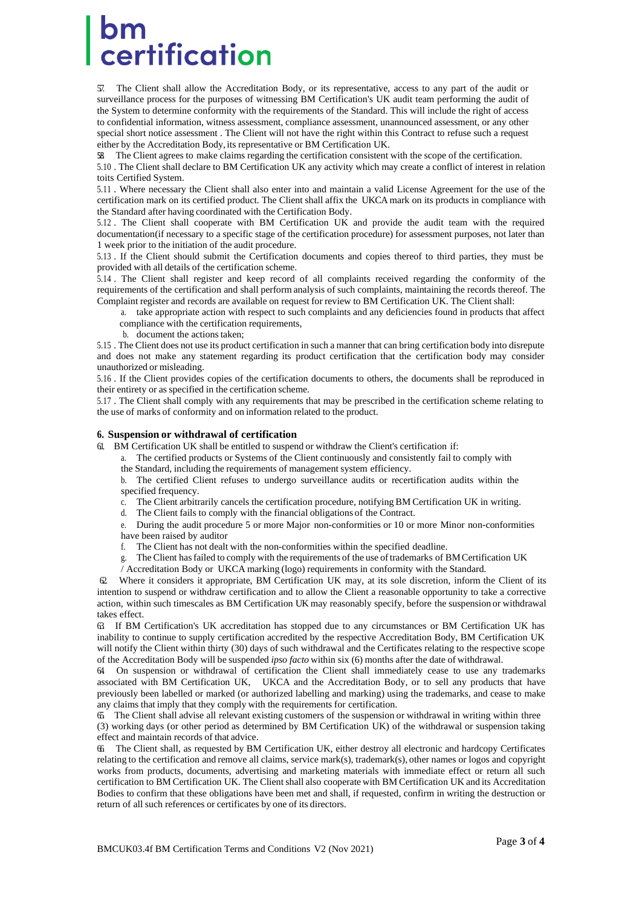## certification

5.7. The Client shall allow the Accreditation Body, or its representative, access to any part of the audit or surveillance process for the purposes of witnessing BM Certification's UK audit team performing the audit of the System to determine conformity with the requirements of the Standard. This will include the right of access to confidential information, witness assessment, compliance assessment, unannounced assessment, or any other special short notice assessment . The Client will not have the right within this Contract to refuse such a request either by the Accreditation Body,its representative or BM Certification UK.

58. The Client agrees to make claims regarding the certification consistent with the scope of the certification.

5.10 . The Client shall declare to BM Certification UK any activity which may create a conflict of interest in relation toits Certified System.

5.11 . Where necessary the Client shall also enter into and maintain a valid License Agreement for the use of the certification mark on its certified product. The Client shall affix the UKCA mark on its products in compliance with the Standard after having coordinated with the Certification Body.

5.12 . The Client shall cooperate with BM Certification UK and provide the audit team with the required documentation(if necessary to a specific stage of the certification procedure) for assessment purposes, not later than 1 week prior to the initiation of the audit procedure.

5.13 . If the Client should submit the Certification documents and copies thereof to third parties, they must be provided with all details of the certification scheme.

5.14 . The Client shall register and keep record of all complaints received regarding the conformity of the requirements of the certification and shall perform analysis of such complaints, maintaining the records thereof. The Complaint register and records are available on request for review to BM Certification UK. The Client shall:

a. take appropriate action with respect to such complaints and any deficiencies found in products that affect compliance with the certification requirements,

b. document the actionstaken;

5.15 . The Client does not use its product certification in such a manner that can bring certification body into disrepute and does not make any statement regarding its product certification that the certification body may consider unauthorized or misleading.

5.16 . If the Client provides copies of the certification documents to others, the documents shall be reproduced in their entirety or as specified in the certification scheme.

5.17 . The Client shall comply with any requirements that may be prescribed in the certification scheme relating to the use of marks of conformity and on information related to the product.

#### **6. Suspension or withdrawal of certification**

6.1. BM Certification UK shall be entitled to suspend or withdraw the Client's certification if:

- a. The certified products or Systems of the Client continuously and consistently fail to comply with the Standard, including the requirements of management system efficiency.
- b. The certified Client refuses to undergo surveillance audits or recertification audits within the specified frequency.
- c. The Client arbitrarily cancels the certification procedure, notifying BM Certification UK in writing.

The Client fails to comply with the financial obligations of the Contract.

e. During the audit procedure 5 or more Major non-conformities or 10 or more Minor non-conformities have been raised by auditor

- f. The Client has not dealt with the non-conformities within the specified deadline.
- g. The Client hasfailed to comply with the requirements of the use oftrademarks of BMCertification UK

/ Accreditation Body or UKCA marking (logo) requirements in conformity with the Standard.

Where it considers it appropriate, BM Certification UK may, at its sole discretion, inform the Client of its intention to suspend or withdraw certification and to allow the Client a reasonable opportunity to take a corrective action, within such timescales as BM Certification UK may reasonably specify, before the suspension or withdrawal takes effect.

6.3. If BM Certification's UK accreditation has stopped due to any circumstances or BM Certification UK has inability to continue to supply certification accredited by the respective Accreditation Body, BM Certification UK will notify the Client within thirty (30) days of such withdrawal and the Certificates relating to the respective scope of the Accreditation Body will be suspended *ipso facto* within six (6) months after the date of withdrawal.

6.4. On suspension or withdrawal of certification the Client shall immediately cease to use any trademarks associated with BM Certification UK, UKCA and the Accreditation Body, or to sell any products that have previously been labelled or marked (or authorized labelling and marking) using the trademarks, and cease to make any claims that imply that they comply with the requirements for certification.

6.5. The Client shall advise all relevant existing customers of the suspension or withdrawal in writing within three (3) working days (or other period as determined by BM Certification UK) of the withdrawal or suspension taking effect and maintain records of that advice.

6.6. The Client shall, as requested by BM Certification UK, either destroy all electronic and hardcopy Certificates relating to the certification and remove all claims, service mark(s), trademark(s), other names or logos and copyright works from products, documents, advertising and marketing materials with immediate effect or return all such certification to BM Certification UK. The Client shall also cooperate with BM Certification UK and its Accreditation Bodies to confirm that these obligations have been met and shall, if requested, confirm in writing the destruction or return of all such references or certificates by one of its directors.